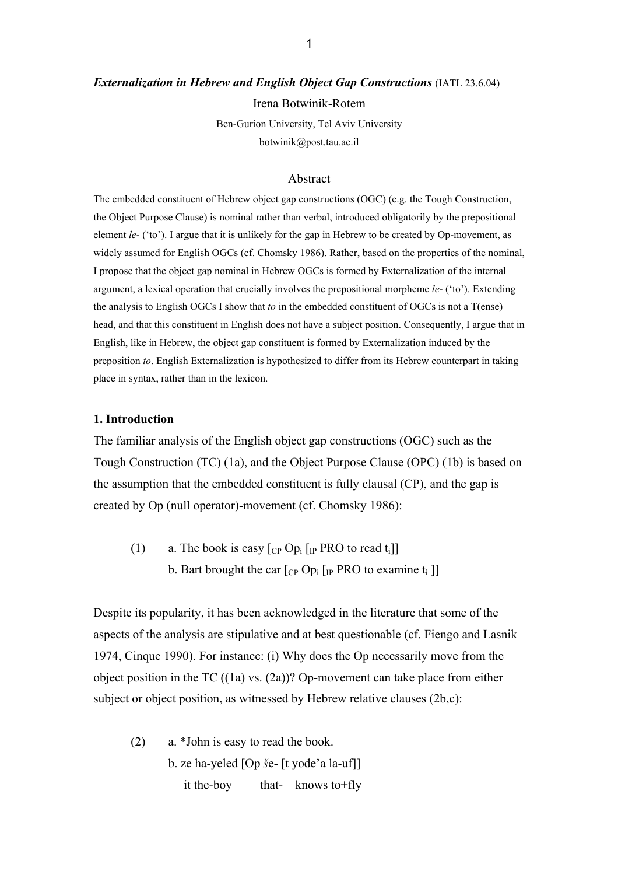#### *Externalization in Hebrew and English Object Gap Constructions (IATL 23.6.04)*

Irena Botwinik-Rotem

Ben-Gurion University, Tel Aviv University botwinik@post.tau.ac.il

#### Abstract

The embedded constituent of Hebrew object gap constructions (OGC) (e.g. the Tough Construction, the Object Purpose Clause) is nominal rather than verbal, introduced obligatorily by the prepositional element *le*- ('to'). I argue that it is unlikely for the gap in Hebrew to be created by Op-movement, as widely assumed for English OGCs (cf. Chomsky 1986). Rather, based on the properties of the nominal, I propose that the object gap nominal in Hebrew OGCs is formed by Externalization of the internal argument, a lexical operation that crucially involves the prepositional morpheme *le*- ('to'). Extending the analysis to English OGCs I show that *to* in the embedded constituent of OGCs is not a T(ense) head, and that this constituent in English does not have a subject position. Consequently, I argue that in English, like in Hebrew, the object gap constituent is formed by Externalization induced by the preposition *to*. English Externalization is hypothesized to differ from its Hebrew counterpart in taking place in syntax, rather than in the lexicon.

#### **1. Introduction**

The familiar analysis of the English object gap constructions (OGC) such as the Tough Construction (TC) (1a), and the Object Purpose Clause (OPC) (1b) is based on the assumption that the embedded constituent is fully clausal (CP), and the gap is created by Op (null operator)-movement (cf. Chomsky 1986):

(1) a. The book is easy  $[CP Op_i]$  [IP PRO to read t<sub>i</sub>]] b. Bart brought the car  $[CP Op_i]$  [IP PRO to examine t<sub>i</sub> ]]

Despite its popularity, it has been acknowledged in the literature that some of the aspects of the analysis are stipulative and at best questionable (cf. Fiengo and Lasnik 1974, Cinque 1990). For instance: (i) Why does the Op necessarily move from the object position in the TC  $((1a)$  vs.  $(2a)$ ? Op-movement can take place from either subject or object position, as witnessed by Hebrew relative clauses (2b,c):

(2) a. \*John is easy to read the book. b. ze ha-yeled [Op *š*e- [t yode'a la-uf]] it the-boy that- knows to+fly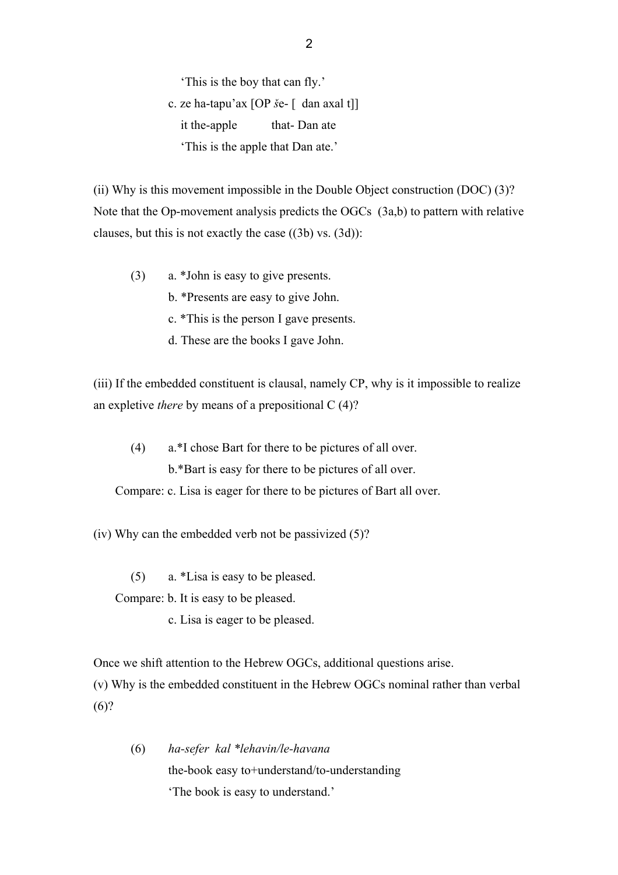'This is the boy that can fly.' c. ze ha-tapu'ax [OP *š*e- [ dan axal t]] it the-apple that- Dan ate 'This is the apple that Dan ate.'

(ii) Why is this movement impossible in the Double Object construction (DOC) (3)? Note that the Op-movement analysis predicts the OGCs (3a,b) to pattern with relative clauses, but this is not exactly the case ((3b) vs. (3d)):

(3) a. \*John is easy to give presents.

b. \*Presents are easy to give John.

c. \*This is the person I gave presents.

d. These are the books I gave John.

(iii) If the embedded constituent is clausal, namely CP, why is it impossible to realize an expletive *there* by means of a prepositional C (4)?

(4) a.\*I chose Bart for there to be pictures of all over. b.\*Bart is easy for there to be pictures of all over. Compare: c. Lisa is eager for there to be pictures of Bart all over.

(iv) Why can the embedded verb not be passivized (5)?

(5) a. \*Lisa is easy to be pleased.

Compare: b. It is easy to be pleased.

c. Lisa is eager to be pleased.

Once we shift attention to the Hebrew OGCs, additional questions arise.

(v) Why is the embedded constituent in the Hebrew OGCs nominal rather than verbal  $(6)?$ 

(6) *ha-sefer kal \*lehavin/le-havana*  the-book easy to+understand/to-understanding 'The book is easy to understand.'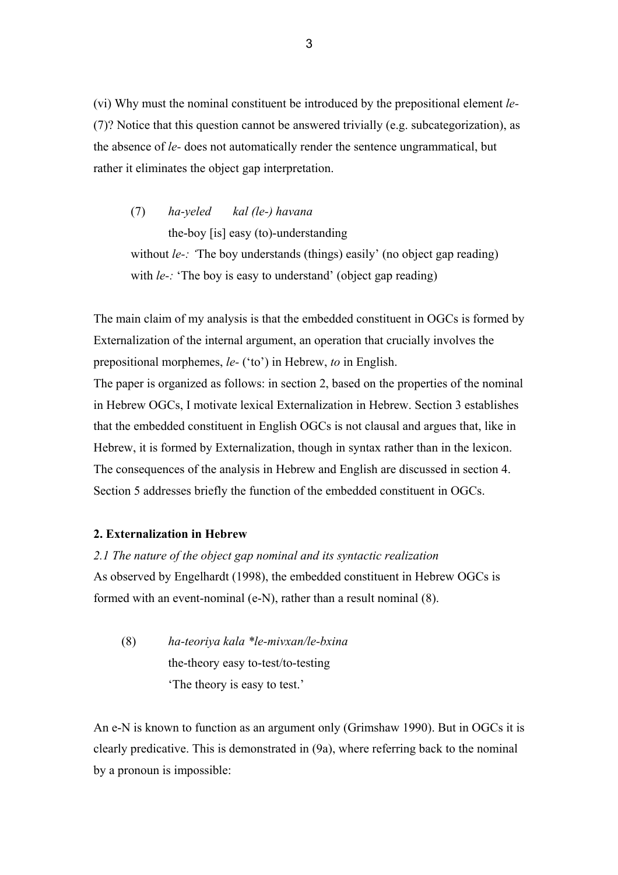(vi) Why must the nominal constituent be introduced by the prepositional element *le-*  (7)? Notice that this question cannot be answered trivially (e.g. subcategorization), as the absence of *le-* does not automatically render the sentence ungrammatical, but rather it eliminates the object gap interpretation.

(7) *ha-yeled kal (le-) havana*  the-boy [is] easy (to)-understanding without *le*-: 'The boy understands (things) easily' (no object gap reading) with *le*-: 'The boy is easy to understand' (object gap reading)

The main claim of my analysis is that the embedded constituent in OGCs is formed by Externalization of the internal argument, an operation that crucially involves the prepositional morphemes, *le-* ('to') in Hebrew, *to* in English. The paper is organized as follows: in section 2, based on the properties of the nominal in Hebrew OGCs, I motivate lexical Externalization in Hebrew. Section 3 establishes that the embedded constituent in English OGCs is not clausal and argues that, like in Hebrew, it is formed by Externalization, though in syntax rather than in the lexicon. The consequences of the analysis in Hebrew and English are discussed in section 4. Section 5 addresses briefly the function of the embedded constituent in OGCs.

## **2. Externalization in Hebrew**

## *2.1 The nature of the object gap nominal and its syntactic realization*

As observed by Engelhardt (1998), the embedded constituent in Hebrew OGCs is formed with an event-nominal (e-N), rather than a result nominal (8).

(8) *ha-teoriya kala \*le-mivxan/le-bxina*  the-theory easy to-test/to-testing 'The theory is easy to test.'

An e-N is known to function as an argument only (Grimshaw 1990). But in OGCs it is clearly predicative. This is demonstrated in (9a), where referring back to the nominal by a pronoun is impossible: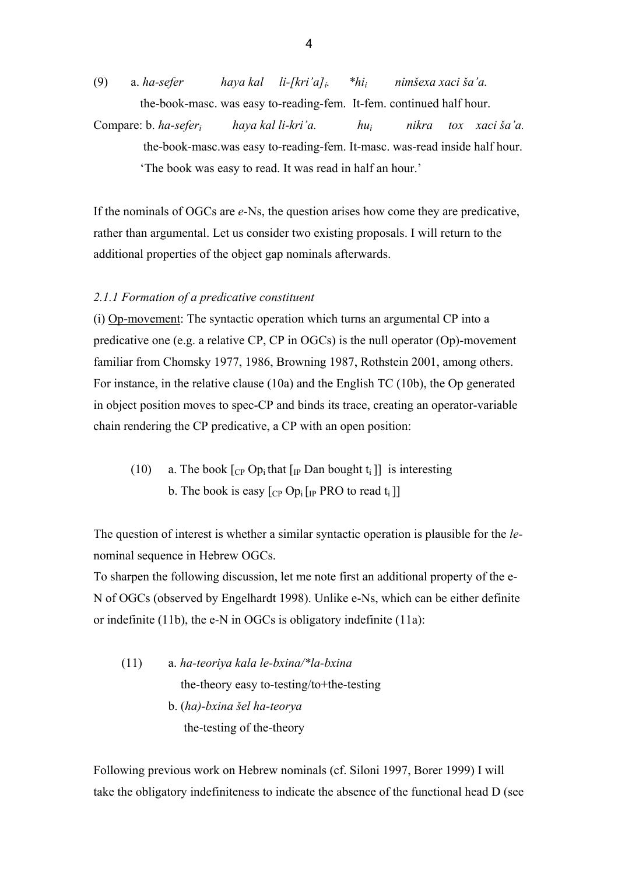(9) a. *ha-sefer haya kal li-[kri'a]i. \*hii nimšexa xaci ša'a.* the-book-masc. was easy to-reading-fem. It-fem. continued half hour.

Compare: b. *ha-seferi haya kal li-kri'a. hui nikra tox xaci ša'a.*  the-book-masc.was easy to-reading-fem. It-masc. was-read inside half hour. 'The book was easy to read. It was read in half an hour.'

If the nominals of OGCs are *e-*Ns, the question arises how come they are predicative, rather than argumental. Let us consider two existing proposals. I will return to the additional properties of the object gap nominals afterwards.

## *2.1.1 Formation of a predicative constituent*

(i) Op-movement: The syntactic operation which turns an argumental CP into a predicative one (e.g. a relative CP, CP in OGCs) is the null operator (Op)-movement familiar from Chomsky 1977, 1986, Browning 1987, Rothstein 2001, among others. For instance, in the relative clause (10a) and the English TC (10b), the Op generated in object position moves to spec-CP and binds its trace, creating an operator-variable chain rendering the CP predicative, a CP with an open position:

(10) a. The book  $\lceil_{CP}$  Op<sub>i</sub> that  $\lceil_{IP}$  Dan bought t<sub>i</sub>  $\rceil$  is interesting b. The book is easy  $[CP Op_i]$  [IP PRO to read t<sub>i</sub>]]

The question of interest is whether a similar syntactic operation is plausible for the *le*nominal sequence in Hebrew OGCs.

To sharpen the following discussion, let me note first an additional property of the e-N of OGCs (observed by Engelhardt 1998). Unlike e-Ns, which can be either definite or indefinite (11b), the e-N in OGCs is obligatory indefinite (11a):

(11) a. *ha-teoriya kala le-bxina/\*la-bxina* the-theory easy to-testing/to+the-testing b. (*ha)-bxina šel ha-teorya*  the-testing of the-theory

Following previous work on Hebrew nominals (cf. Siloni 1997, Borer 1999) I will take the obligatory indefiniteness to indicate the absence of the functional head D (see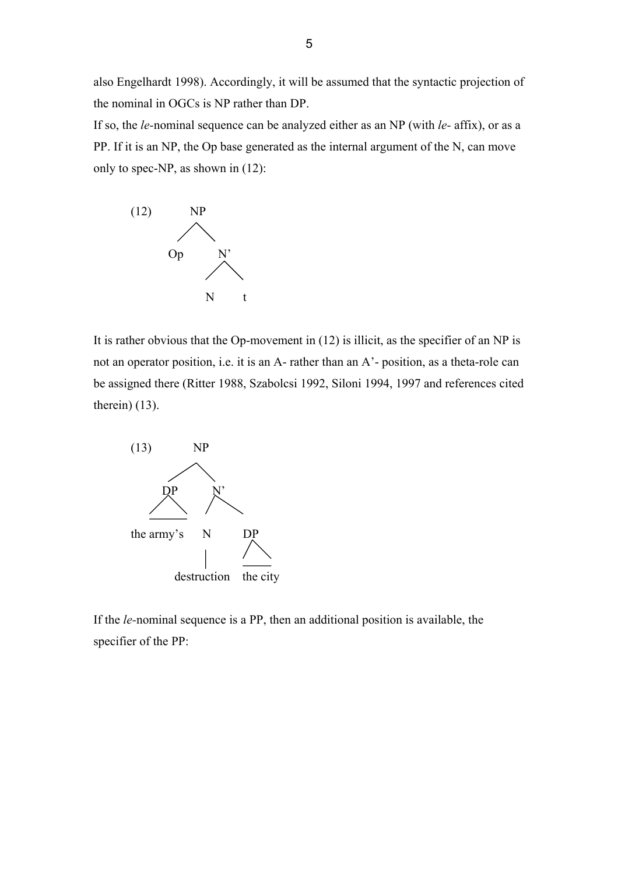also Engelhardt 1998). Accordingly, it will be assumed that the syntactic projection of the nominal in OGCs is NP rather than DP.

If so, the *le-*nominal sequence can be analyzed either as an NP (with *le-* affix), or as a PP. If it is an NP, the Op base generated as the internal argument of the N, can move only to spec-NP, as shown in (12):



It is rather obvious that the Op-movement in (12) is illicit, as the specifier of an NP is not an operator position, i.e. it is an A- rather than an A'- position, as a theta-role can be assigned there (Ritter 1988, Szabolcsi 1992, Siloni 1994, 1997 and references cited therein) (13).



If the *le-*nominal sequence is a PP, then an additional position is available, the specifier of the PP: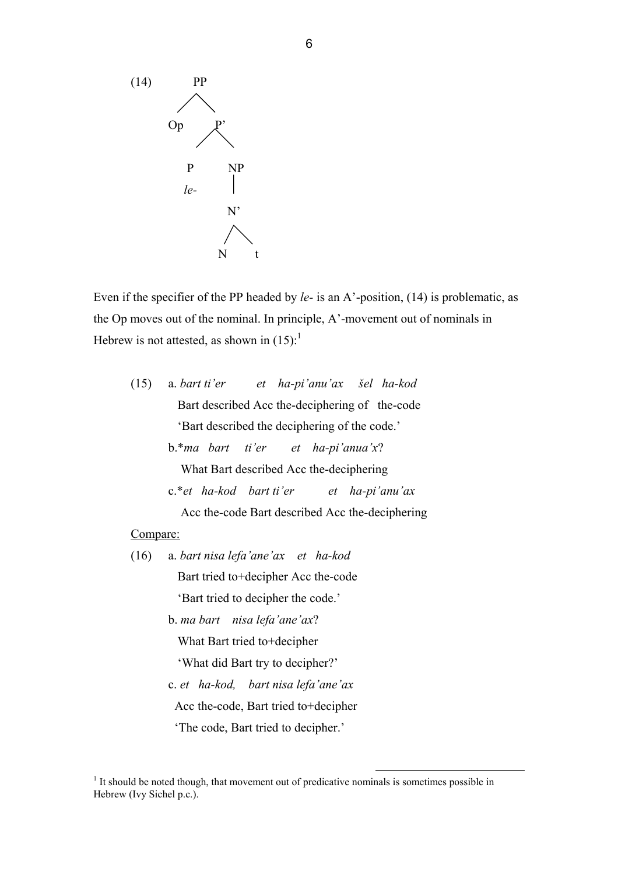

Even if the specifier of the PP headed by *le-* is an A'-position, (14) is problematic, as the Op moves out of the nominal. In principle, A'-movement out of nominals in Hebrew is not attested, as shown in  $(15)$ :<sup>1</sup>

(15) a. *bart ti'er et ha-pi'anu'ax šel ha-kod*  Bart described Acc the-deciphering of the-code 'Bart described the deciphering of the code.' b.\**ma bart ti'er et ha-pi'anua'x*? What Bart described Acc the-deciphering c.\**et ha-kod bart ti'er et ha-pi'anu'ax* Acc the-code Bart described Acc the-deciphering

#### Compare:

- (16) a. *bart nisa lefa'ane'ax et ha-kod*  Bart tried to+decipher Acc the-code 'Bart tried to decipher the code.'
	- b. *ma bart nisa lefa'ane'ax*? What Bart tried to+decipher

'What did Bart try to decipher?'

c. *et ha-kod, bart nisa lefa'ane'ax* Acc the-code, Bart tried to+decipher

'The code, Bart tried to decipher.'

<sup>&</sup>lt;sup>1</sup> It should be noted though, that movement out of predicative nominals is sometimes possible in Hebrew (Ivy Sichel p.c.).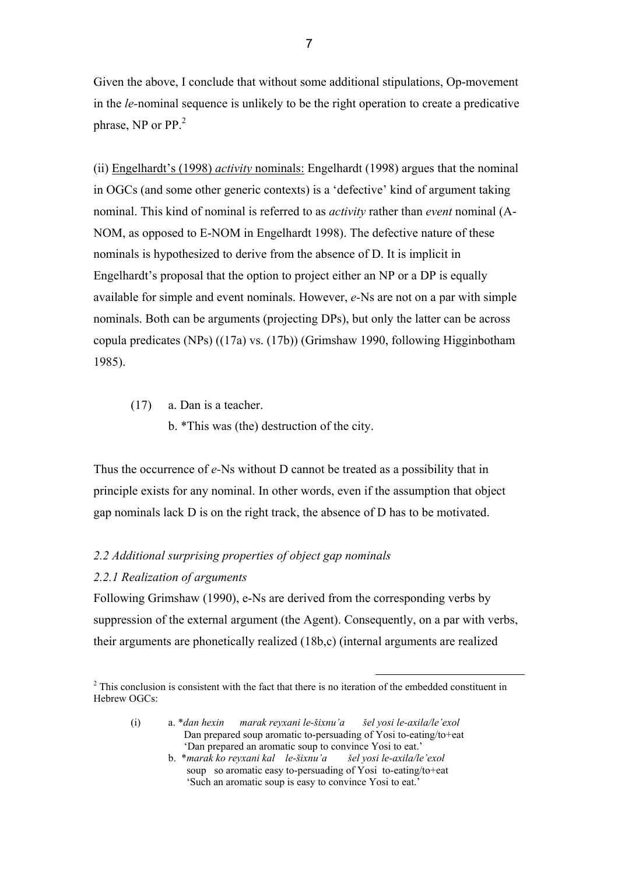Given the above, I conclude that without some additional stipulations, Op-movement in the *le-*nominal sequence is unlikely to be the right operation to create a predicative phrase, NP or  $PP<sup>2</sup>$ 

(ii) Engelhardt's (1998) *activity* nominals: Engelhardt (1998) argues that the nominal in OGCs (and some other generic contexts) is a 'defective' kind of argument taking nominal. This kind of nominal is referred to as *activity* rather than *event* nominal (A-NOM, as opposed to E-NOM in Engelhardt 1998). The defective nature of these nominals is hypothesized to derive from the absence of D. It is implicit in Engelhardt's proposal that the option to project either an NP or a DP is equally available for simple and event nominals. However, *e-*Ns are not on a par with simple nominals. Both can be arguments (projecting DPs), but only the latter can be across copula predicates (NPs) ((17a) vs. (17b)) (Grimshaw 1990, following Higginbotham 1985).

(17) a. Dan is a teacher.

b. \*This was (the) destruction of the city.

Thus the occurrence of *e-*Ns without D cannot be treated as a possibility that in principle exists for any nominal. In other words, even if the assumption that object gap nominals lack D is on the right track, the absence of D has to be motivated.

# *2.2 Additional surprising properties of object gap nominals*

## *2.2.1 Realization of arguments*

Following Grimshaw (1990), e-Ns are derived from the corresponding verbs by suppression of the external argument (the Agent). Consequently, on a par with verbs, their arguments are phonetically realized (18b,c) (internal arguments are realized

<sup>&</sup>lt;sup>2</sup> This conclusion is consistent with the fact that there is no iteration of the embedded constituent in Hebrew OGCs:

 <sup>(</sup>i) a. \**dan hexin marak reyxani le-šixnu'a šel yosi le-axila/le'exol* Dan prepared soup aromatic to-persuading of Yosi to-eating/to+eat 'Dan prepared an aromatic soup to convince Yosi to eat.'

b. \**marak ko reyxani kal le-šixnu'a šel yosi le-axila/le'exol*  soup so aromatic easy to-persuading of Yosi to-eating/to+eat 'Such an aromatic soup is easy to convince Yosi to eat.'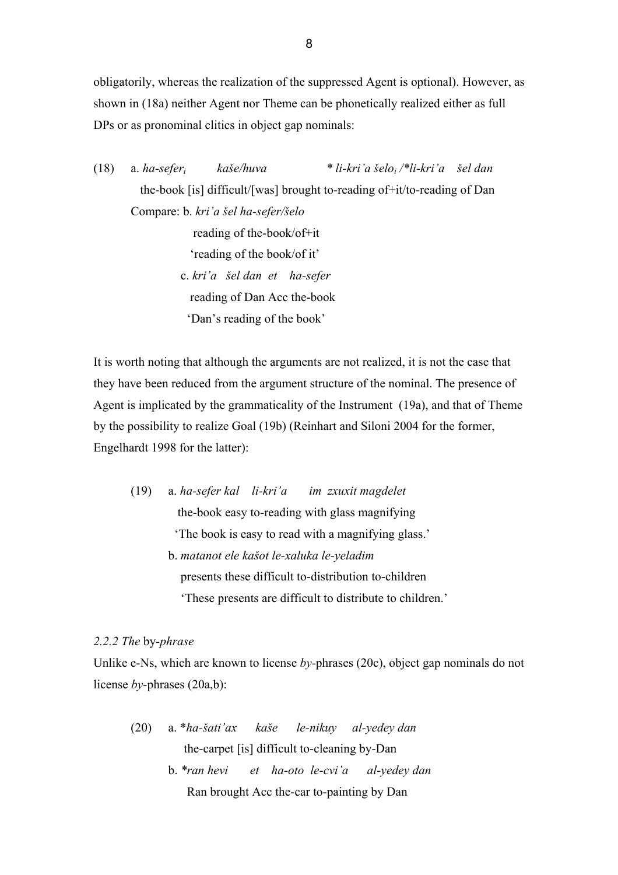obligatorily, whereas the realization of the suppressed Agent is optional). However, as shown in (18a) neither Agent nor Theme can be phonetically realized either as full DPs or as pronominal clitics in object gap nominals:

(18) a. *ha-seferi kaše/huva \* li-kri'a šeloi /\*li-kri'a šel dan*  the-book [is] difficult/[was] brought to-reading of+it/to-reading of Dan Compare: b. *kri'a šel ha-sefer/šelo*  reading of the-book/of+it 'reading of the book/of it' c. *kri'a šel dan et ha-sefer*  reading of Dan Acc the-book 'Dan's reading of the book'

It is worth noting that although the arguments are not realized, it is not the case that they have been reduced from the argument structure of the nominal. The presence of Agent is implicated by the grammaticality of the Instrument (19a), and that of Theme by the possibility to realize Goal (19b) (Reinhart and Siloni 2004 for the former, Engelhardt 1998 for the latter):

 (19) a. *ha-sefer kal li-kri'a im zxuxit magdelet*  the-book easy to-reading with glass magnifying 'The book is easy to read with a magnifying glass.' b. *matanot ele kašot le-xaluka le-yeladim*  presents these difficult to-distribution to-children 'These presents are difficult to distribute to children.'

# *2.2.2 The* by*-phrase*

Unlike e-Ns, which are known to license *by-*phrases (20c), object gap nominals do not license *by-*phrases (20a,b):

(20) a. \**ha-šati'ax kaše le-nikuy al-yedey dan* the-carpet [is] difficult to-cleaning by-Dan b. *\*ran hevi et ha-oto le-cvi'a al-yedey dan*  Ran brought Acc the-car to-painting by Dan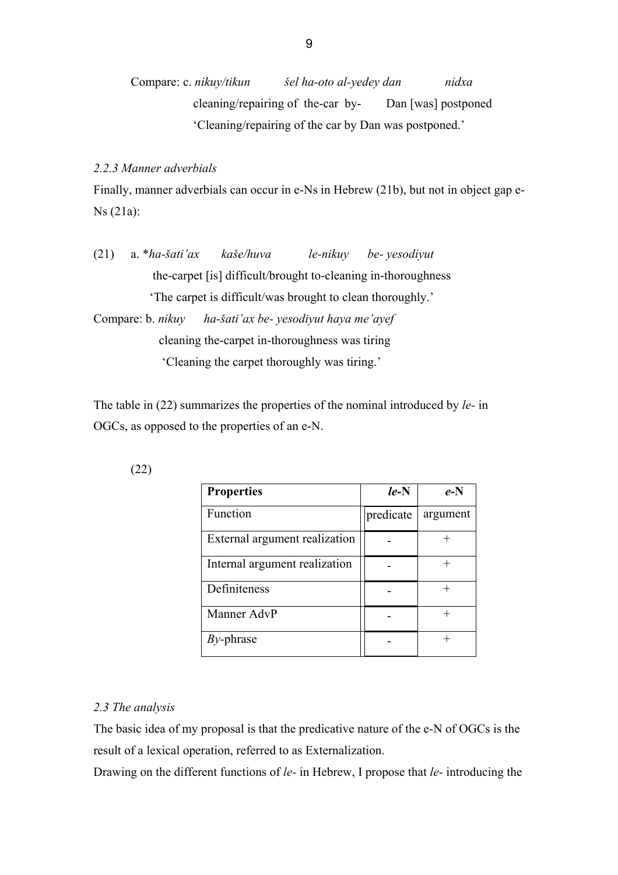Compare: c. *nikuy/tikun šel ha-oto al-yedey dan nidxa* cleaning/repairing of the-car by- Dan [was] postponed 'Cleaning/repairing of the car by Dan was postponed.'

# *2.2.3 Manner adverbials*

Finally, manner adverbials can occur in e-Ns in Hebrew (21b), but not in object gap e-Ns (21a):

(21) a. \**ha-šati'ax kaše/huva le-nikuy be- yesodiyut*  the-carpet [is] difficult/brought to-cleaning in-thoroughness 'The carpet is difficult/was brought to clean thoroughly.'

Compare: b. *nikuy ha-šati'ax be- yesodiyut haya me'ayef*  cleaning the-carpet in-thoroughness was tiring 'Cleaning the carpet thoroughly was tiring.'

The table in (22) summarizes the properties of the nominal introduced by *le-* in OGCs, as opposed to the properties of an e-N.

| <b>Properties</b>             | $le-N$    | $e-N$    |
|-------------------------------|-----------|----------|
| Function                      | predicate | argument |
| External argument realization |           |          |
| Internal argument realization |           |          |
| Definiteness                  |           |          |
| Manner AdvP                   |           |          |
| $By$ -phrase                  |           |          |

### *2.3 The analysis*

The basic idea of my proposal is that the predicative nature of the e-N of OGCs is the result of a lexical operation, referred to as Externalization.

Drawing on the different functions of *le-* in Hebrew, I propose that *le-* introducing the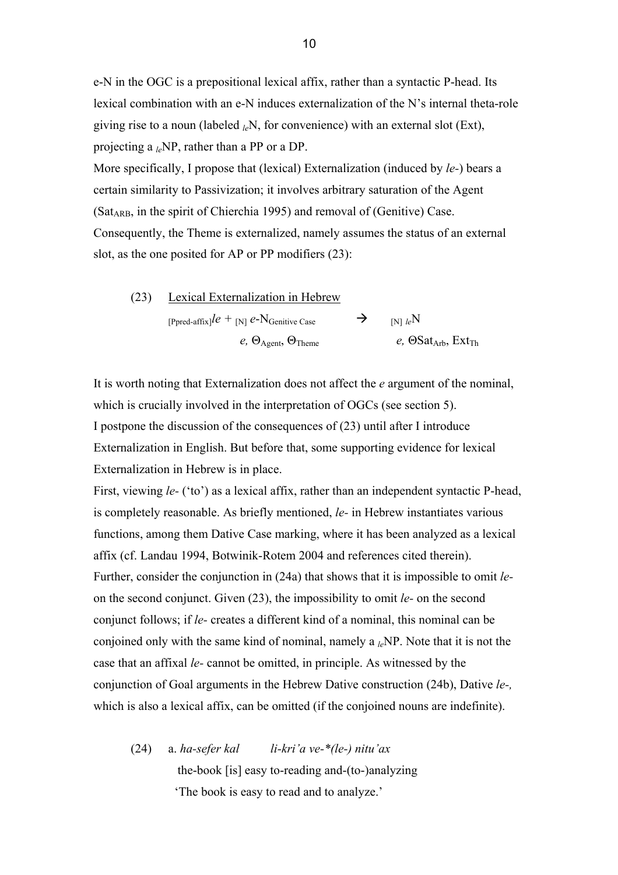e-N in the OGC is a prepositional lexical affix, rather than a syntactic P-head. Its lexical combination with an e-N induces externalization of the N's internal theta-role giving rise to a noun (labeled *le*N, for convenience) with an external slot (Ext), projecting a *le*NP, rather than a PP or a DP.

More specifically, I propose that (lexical) Externalization (induced by *le-*) bears a certain similarity to Passivization; it involves arbitrary saturation of the Agent  $(Sat_{ARR}$ , in the spirit of Chierchia 1995) and removal of (Genitive) Case. Consequently, the Theme is externalized, namely assumes the status of an external slot, as the one posited for AP or PP modifiers (23):

(23) Lexical Externalization in Hebrew [Ppred-affix] $l e$  + [N]  $e$ -N<sub>Genitive Case</sub>  $\rightarrow$  [N]  $l e$ N  $e$ ,  $\Theta_{\text{Agent}}$ ,  $\Theta_{\text{Theme}}$  *e*,  $\Theta_{\text{Sat}_{\text{Arb}}}$ ,  $\text{Ext}_{\text{Th}}$ 

It is worth noting that Externalization does not affect the *e* argument of the nominal, which is crucially involved in the interpretation of OGCs (see section 5). I postpone the discussion of the consequences of (23) until after I introduce Externalization in English. But before that, some supporting evidence for lexical Externalization in Hebrew is in place.

First, viewing *le-* ('to') as a lexical affix, rather than an independent syntactic P-head, is completely reasonable. As briefly mentioned, *le-* in Hebrew instantiates various functions, among them Dative Case marking, where it has been analyzed as a lexical affix (cf. Landau 1994, Botwinik-Rotem 2004 and references cited therein). Further, consider the conjunction in (24a) that shows that it is impossible to omit *le*on the second conjunct. Given (23), the impossibility to omit *le-* on the second conjunct follows; if *le-* creates a different kind of a nominal, this nominal can be conjoined only with the same kind of nominal, namely a *le*NP. Note that it is not the case that an affixal *le-* cannot be omitted, in principle. As witnessed by the conjunction of Goal arguments in the Hebrew Dative construction (24b), Dative *le-,*  which is also a lexical affix, can be omitted (if the conjoined nouns are indefinite).

(24) a. *ha-sefer kal li-kri'a ve-\*(le-) nitu'ax*  the-book [is] easy to-reading and-(to-)analyzing 'The book is easy to read and to analyze.'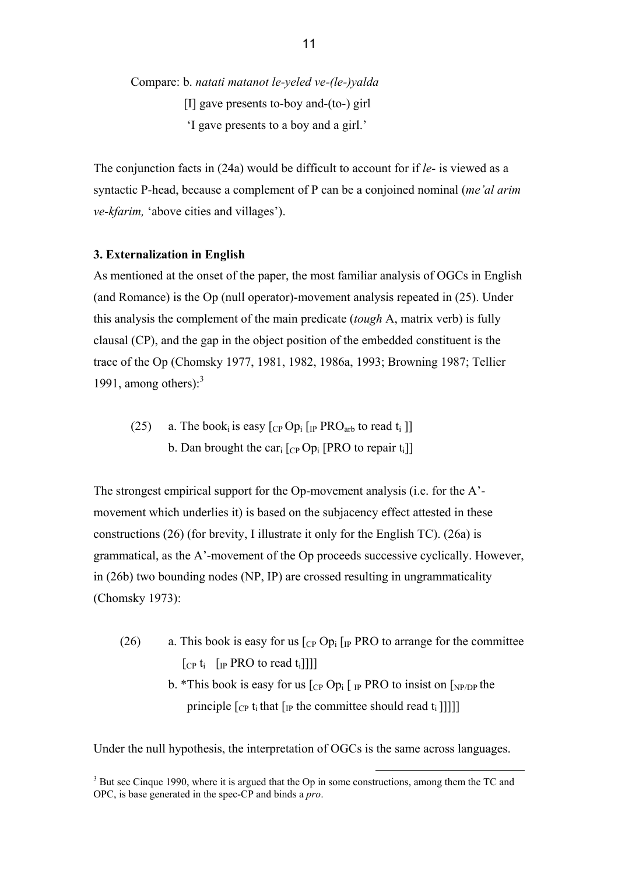Compare: b. *natati matanot le-yeled ve-(le-)yalda*  [I] gave presents to-boy and-(to-) girl 'I gave presents to a boy and a girl.'

The conjunction facts in (24a) would be difficult to account for if *le-* is viewed as a syntactic P-head, because a complement of P can be a conjoined nominal (*me'al arim ve-kfarim,* 'above cities and villages').

## **3. Externalization in English**

As mentioned at the onset of the paper, the most familiar analysis of OGCs in English (and Romance) is the Op (null operator)-movement analysis repeated in (25). Under this analysis the complement of the main predicate (*tough* A, matrix verb) is fully clausal (CP), and the gap in the object position of the embedded constituent is the trace of the Op (Chomsky 1977, 1981, 1982, 1986a, 1993; Browning 1987; Tellier 1991, among others): $3$ 

(25) a. The book<sub>i</sub> is easy  $[CP Op_i]$  [IP PRO<sub>arb</sub> to read t<sub>i</sub> ]] b. Dan brought the car<sub>i</sub>  $[CP$  Op<sub>i</sub> [PRO to repair t<sub>i</sub>]]

The strongest empirical support for the Op-movement analysis (i.e. for the A' movement which underlies it) is based on the subjacency effect attested in these constructions (26) (for brevity, I illustrate it only for the English TC). (26a) is grammatical, as the A'-movement of the Op proceeds successive cyclically. However, in (26b) two bounding nodes (NP, IP) are crossed resulting in ungrammaticality (Chomsky 1973):

- (26) a. This book is easy for us  $\lceil_{CP}$  Op<sub>i</sub>  $\lceil_{IP}$  PRO to arrange for the committee  $\begin{bmatrix} \n\text{Cp } t_i \n\end{bmatrix}$   $\begin{bmatrix} \n\text{IP } PRO \text{ to read } t_i \n\end{bmatrix}$ 
	- b. \*This book is easy for us  $\lceil_{CP} Op_i \rceil$  IP PRO to insist on  $\lceil_{NP/DP}$  the principle  $\lceil_{CP} t_i$  that  $\lceil_{IP} t_i \rceil$  the committee should read  $t_i$  []]]]

Under the null hypothesis, the interpretation of OGCs is the same across languages.

<sup>&</sup>lt;sup>3</sup> But see Cinque 1990, where it is argued that the Op in some constructions, among them the TC and OPC, is base generated in the spec-CP and binds a *pro*.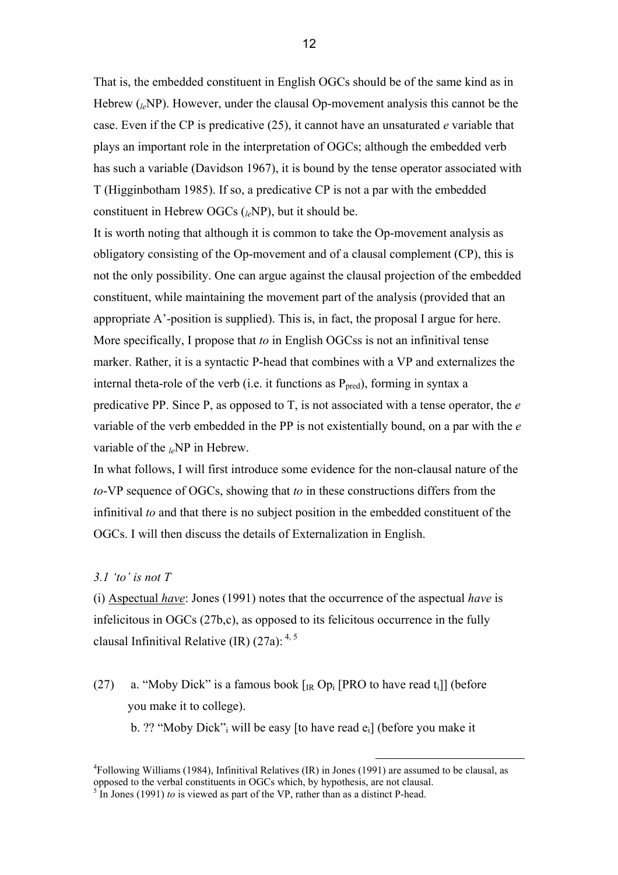That is, the embedded constituent in English OGCs should be of the same kind as in Hebrew (*le*NP). However, under the clausal Op-movement analysis this cannot be the case. Even if the CP is predicative (25), it cannot have an unsaturated *e* variable that plays an important role in the interpretation of OGCs; although the embedded verb has such a variable (Davidson 1967), it is bound by the tense operator associated with T (Higginbotham 1985). If so, a predicative CP is not a par with the embedded constituent in Hebrew OGCs (*le*NP), but it should be.

It is worth noting that although it is common to take the Op-movement analysis as obligatory consisting of the Op-movement and of a clausal complement (CP), this is not the only possibility. One can argue against the clausal projection of the embedded constituent, while maintaining the movement part of the analysis (provided that an appropriate A'-position is supplied). This is, in fact, the proposal I argue for here. More specifically, I propose that *to* in English OGCss is not an infinitival tense marker. Rather, it is a syntactic P-head that combines with a VP and externalizes the internal theta-role of the verb (i.e. it functions as  $P_{pred}$ ), forming in syntax a predicative PP. Since P, as opposed to T, is not associated with a tense operator, the *e*  variable of the verb embedded in the PP is not existentially bound, on a par with the *e*  variable of the <sub>le</sub>NP in Hebrew.

In what follows, I will first introduce some evidence for the non-clausal nature of the *to*-VP sequence of OGCs, showing that *to* in these constructions differs from the infinitival *to* and that there is no subject position in the embedded constituent of the OGCs. I will then discuss the details of Externalization in English.

## *3.1 'to' is not T*

(i) Aspectual *have*: Jones (1991) notes that the occurrence of the aspectual *have* is infelicitous in OGCs (27b,c), as opposed to its felicitous occurrence in the fully clausal Infinitival Relative (IR)  $(27a)$ : <sup>4, 5</sup>

(27) a. "Moby Dick" is a famous book  $\lceil_{IR} Op_i \rceil PRO$  to have read t<sub>i</sub>]] (before you make it to college).

b. ?? "Moby Dick"; will be easy [to have read  $e_i$ ] (before you make it

<sup>4</sup> Following Williams (1984), Infinitival Relatives (IR) in Jones (1991) are assumed to be clausal, as opposed to the verbal constituents in OGCs which, by hypothesis, are not clausal. 5  $\frac{1}{2}$  In Jones (1991) *to* is viewed as part of the VP, rather than as a distinct P-head.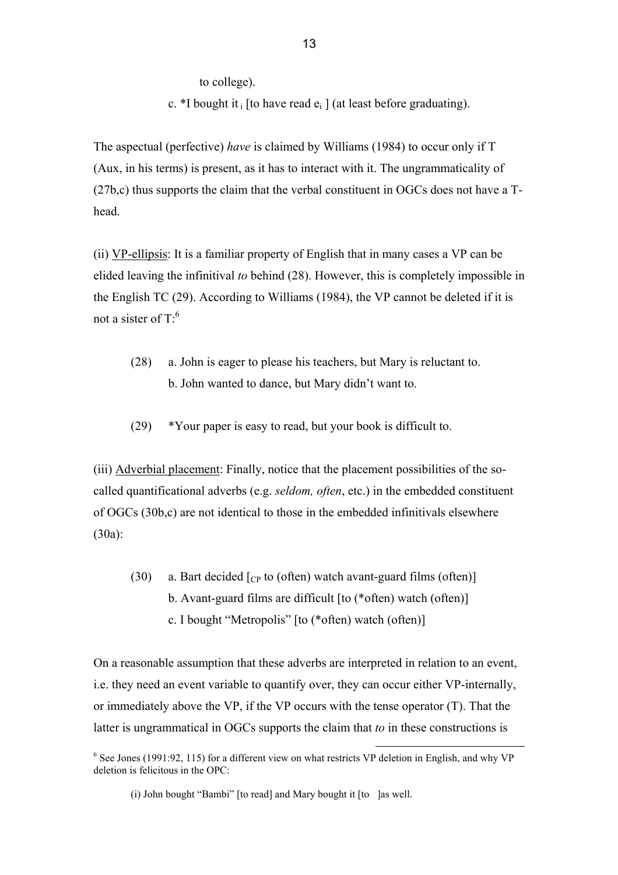to college).

c. \*I bought it i [to have read  $e_i$ ] (at least before graduating).

13

The aspectual (perfective) *have* is claimed by Williams (1984) to occur only if T (Aux, in his terms) is present, as it has to interact with it. The ungrammaticality of (27b,c) thus supports the claim that the verbal constituent in OGCs does not have a Thead.

(ii) VP-ellipsis: It is a familiar property of English that in many cases a VP can be elided leaving the infinitival *to* behind (28). However, this is completely impossible in the English TC (29). According to Williams (1984), the VP cannot be deleted if it is not a sister of  $T<sup>6</sup>$ 

- (28) a. John is eager to please his teachers, but Mary is reluctant to. b. John wanted to dance, but Mary didn't want to.
- (29) \*Your paper is easy to read, but your book is difficult to.

(iii) Adverbial placement: Finally, notice that the placement possibilities of the socalled quantificational adverbs (e.g. *seldom, often*, etc.) in the embedded constituent of OGCs (30b,c) are not identical to those in the embedded infinitivals elsewhere (30a):

(30) a. Bart decided  $\lceil_{CP}$  to (often) watch avant-guard films (often) b. Avant-guard films are difficult [to (\*often) watch (often)] c. I bought "Metropolis" [to (\*often) watch (often)]

On a reasonable assumption that these adverbs are interpreted in relation to an event, i.e. they need an event variable to quantify over, they can occur either VP-internally, or immediately above the VP, if the VP occurs with the tense operator (T). That the latter is ungrammatical in OGCs supports the claim that *to* in these constructions is

<sup>&</sup>lt;sup>6</sup> See Jones (1991:92, 115) for a different view on what restricts VP deletion in English, and why VP deletion is felicitous in the OPC:

<sup>(</sup>i) John bought "Bambi" [to read] and Mary bought it [to ]as well.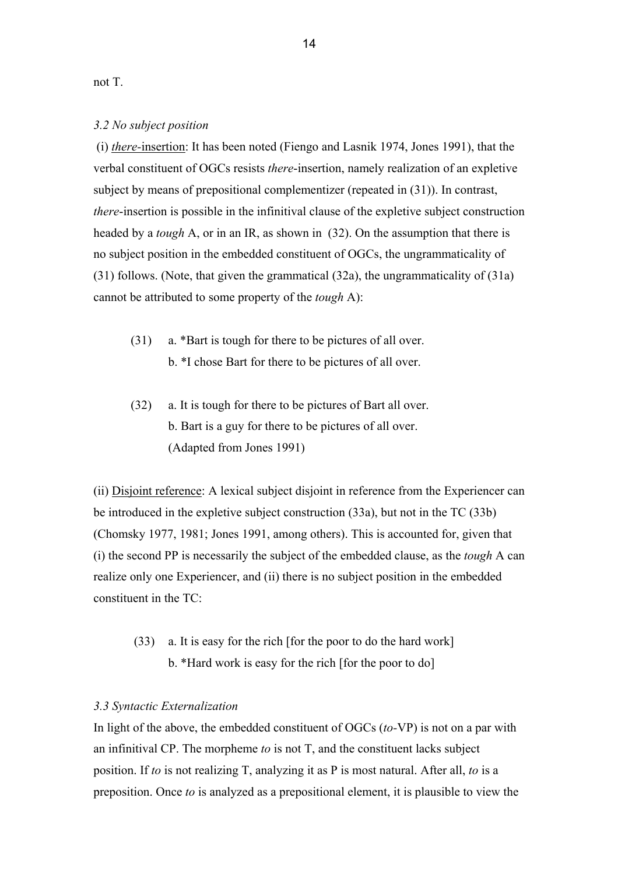not T.

## *3.2 No subject position*

 (i) *there-*insertion: It has been noted (Fiengo and Lasnik 1974, Jones 1991), that the verbal constituent of OGCs resists *there*-insertion, namely realization of an expletive subject by means of prepositional complementizer (repeated in (31)). In contrast, *there*-insertion is possible in the infinitival clause of the expletive subject construction headed by a *tough* A, or in an IR, as shown in (32). On the assumption that there is no subject position in the embedded constituent of OGCs, the ungrammaticality of (31) follows. (Note, that given the grammatical (32a), the ungrammaticality of (31a) cannot be attributed to some property of the *tough* A):

- (31) a. \*Bart is tough for there to be pictures of all over. b. \*I chose Bart for there to be pictures of all over.
- (32) a. It is tough for there to be pictures of Bart all over. b. Bart is a guy for there to be pictures of all over. (Adapted from Jones 1991)

(ii) Disjoint reference: A lexical subject disjoint in reference from the Experiencer can be introduced in the expletive subject construction (33a), but not in the TC (33b) (Chomsky 1977, 1981; Jones 1991, among others). This is accounted for, given that (i) the second PP is necessarily the subject of the embedded clause, as the *tough* A can realize only one Experiencer, and (ii) there is no subject position in the embedded constituent in the TC:

 (33) a. It is easy for the rich [for the poor to do the hard work] b. \*Hard work is easy for the rich [for the poor to do]

## *3.3 Syntactic Externalization*

In light of the above, the embedded constituent of OGCs (*to-*VP) is not on a par with an infinitival CP. The morpheme *to* is not T, and the constituent lacks subject position. If *to* is not realizing T, analyzing it as P is most natural. After all, *to* is a preposition. Once *to* is analyzed as a prepositional element, it is plausible to view the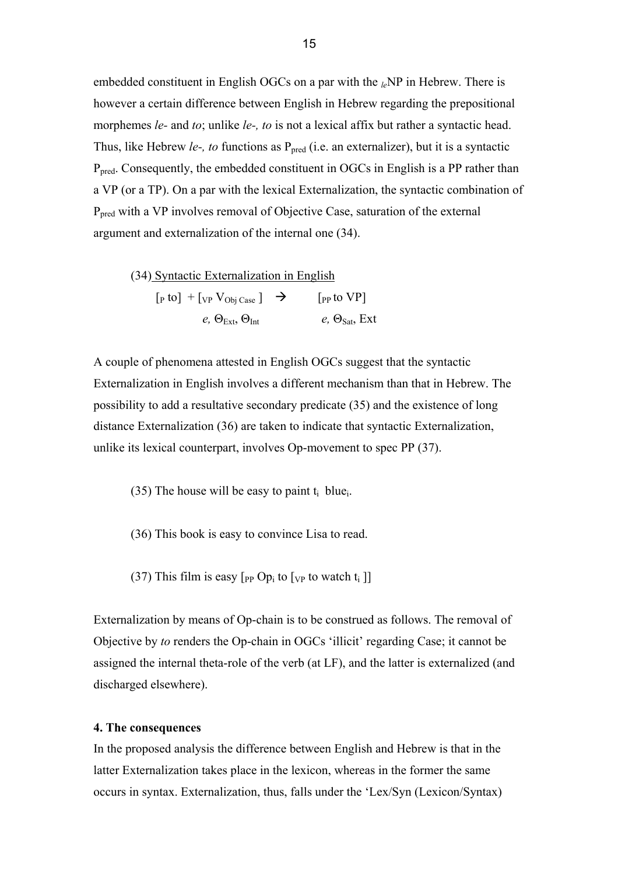embedded constituent in English OGCs on a par with the <sub>le</sub>NP in Hebrew. There is however a certain difference between English in Hebrew regarding the prepositional morphemes *le*- and *to*; unlike *le*-, *to* is not a lexical affix but rather a syntactic head. Thus, like Hebrew *le-, to* functions as P<sub>pred</sub> (i.e. an externalizer), but it is a syntactic P<sub>pred</sub>. Consequently, the embedded constituent in OGCs in English is a PP rather than a VP (or a TP). On a par with the lexical Externalization, the syntactic combination of Ppred with a VP involves removal of Objective Case, saturation of the external argument and externalization of the internal one (34).

(34) Syntactic Externalization in English  $\left[\begin{smallmatrix}\text{p to}\end{smallmatrix}\right] \; + \left[\begin{smallmatrix}\text{VP V} \\ \text{Obj Case}\end{smallmatrix}\right] \;\; \rightarrow \;\; \qquad \left[\begin{smallmatrix}\text{PP to VP} \\ \text{PP to V} \end{smallmatrix}\right]$ *e*,  $\Theta_{\text{Ext}}, \Theta_{\text{Int}}$  *e,*  $\Theta_{\text{Sat}}$ , Ext

A couple of phenomena attested in English OGCs suggest that the syntactic Externalization in English involves a different mechanism than that in Hebrew. The possibility to add a resultative secondary predicate (35) and the existence of long distance Externalization (36) are taken to indicate that syntactic Externalization, unlike its lexical counterpart, involves Op-movement to spec PP (37).

- (35) The house will be easy to paint  $t_i$  blue.
- (36) This book is easy to convince Lisa to read.
- (37) This film is easy  $[p_P \text{ Op}_i \text{ to } [v_P \text{ to watch } t_i ]]$

Externalization by means of Op-chain is to be construed as follows. The removal of Objective by *to* renders the Op-chain in OGCs 'illicit' regarding Case; it cannot be assigned the internal theta-role of the verb (at LF), and the latter is externalized (and discharged elsewhere).

## **4. The consequences**

In the proposed analysis the difference between English and Hebrew is that in the latter Externalization takes place in the lexicon, whereas in the former the same occurs in syntax. Externalization, thus, falls under the 'Lex/Syn (Lexicon/Syntax)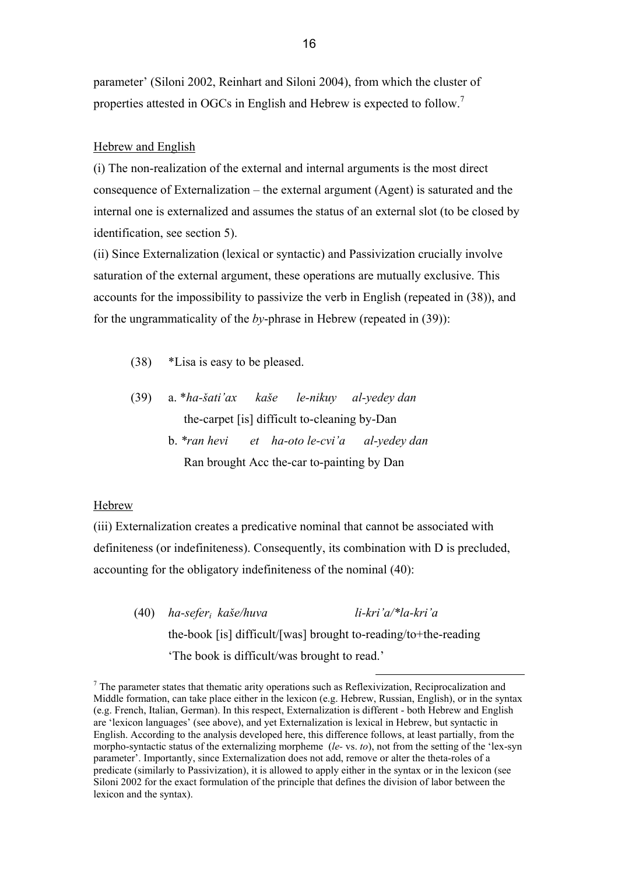parameter' (Siloni 2002, Reinhart and Siloni 2004), from which the cluster of properties attested in OGCs in English and Hebrew is expected to follow.<sup>7</sup>

#### Hebrew and English

(i) The non-realization of the external and internal arguments is the most direct consequence of Externalization – the external argument (Agent) is saturated and the internal one is externalized and assumes the status of an external slot (to be closed by identification, see section 5).

(ii) Since Externalization (lexical or syntactic) and Passivization crucially involve saturation of the external argument, these operations are mutually exclusive. This accounts for the impossibility to passivize the verb in English (repeated in (38)), and for the ungrammaticality of the *by*-phrase in Hebrew (repeated in (39)):

- (38) \*Lisa is easy to be pleased.
- (39) a. \**ha-šati'ax kaše le-nikuy al-yedey dan* the-carpet [is] difficult to-cleaning by-Dan
	- b. *\*ran hevi et ha-oto le-cvi'a al-yedey dan*  Ran brought Acc the-car to-painting by Dan

### Hebrew

(iii) Externalization creates a predicative nominal that cannot be associated with definiteness (or indefiniteness). Consequently, its combination with D is precluded, accounting for the obligatory indefiniteness of the nominal (40):

 (40) *ha-seferi kaše/huva li-kri'a/\*la-kri'a*  the-book [is] difficult/[was] brought to-reading/to+the-reading 'The book is difficult/was brought to read.'

<sup>7</sup> The parameter states that thematic arity operations such as Reflexivization, Reciprocalization and <sup>7</sup> Middle formation, can take place either in the lexicon (e.g. Hebrew, Russian, English), or in the syntax (e.g. French, Italian, German). In this respect, Externalization is different - both Hebrew and English are 'lexicon languages' (see above), and yet Externalization is lexical in Hebrew, but syntactic in English. According to the analysis developed here, this difference follows, at least partially, from the morpho-syntactic status of the externalizing morpheme (*le-* vs. *to*), not from the setting of the 'lex-syn parameter'. Importantly, since Externalization does not add, remove or alter the theta-roles of a predicate (similarly to Passivization), it is allowed to apply either in the syntax or in the lexicon (see Siloni 2002 for the exact formulation of the principle that defines the division of labor between the lexicon and the syntax).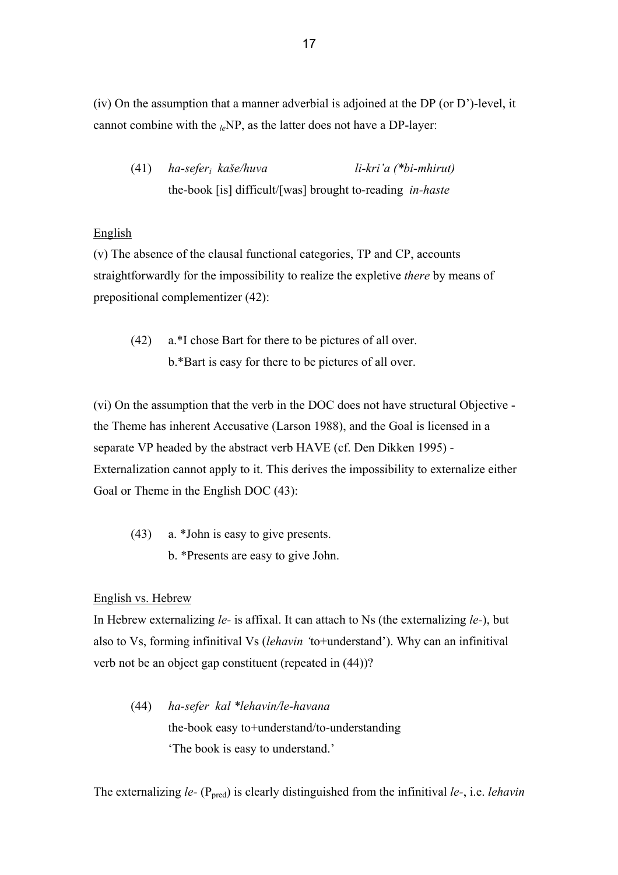(iv) On the assumption that a manner adverbial is adjoined at the DP (or D')-level, it cannot combine with the *le*NP, as the latter does not have a DP-layer:

(41) *ha-seferi kaše/huva li-kri'a (\*bi-mhirut)* the-book [is] difficult/[was] brought to-reading *in-haste* 

# English

(v) The absence of the clausal functional categories, TP and CP, accounts straightforwardly for the impossibility to realize the expletive *there* by means of prepositional complementizer (42):

(42) a.\*I chose Bart for there to be pictures of all over. b.\*Bart is easy for there to be pictures of all over.

(vi) On the assumption that the verb in the DOC does not have structural Objective the Theme has inherent Accusative (Larson 1988), and the Goal is licensed in a separate VP headed by the abstract verb HAVE (cf. Den Dikken 1995) - Externalization cannot apply to it. This derives the impossibility to externalize either Goal or Theme in the English DOC  $(43)$ :

(43) a. \*John is easy to give presents. b. \*Presents are easy to give John.

# English vs. Hebrew

In Hebrew externalizing *le-* is affixal. It can attach to Ns (the externalizing *le-*), but also to Vs, forming infinitival Vs (*lehavin '*to+understand'). Why can an infinitival verb not be an object gap constituent (repeated in (44))?

(44) *ha-sefer kal \*lehavin/le-havana*  the-book easy to+understand/to-understanding 'The book is easy to understand.'

The externalizing *le-* (P<sub>pred</sub>) is clearly distinguished from the infinitival *le-*, i.e. *lehavin*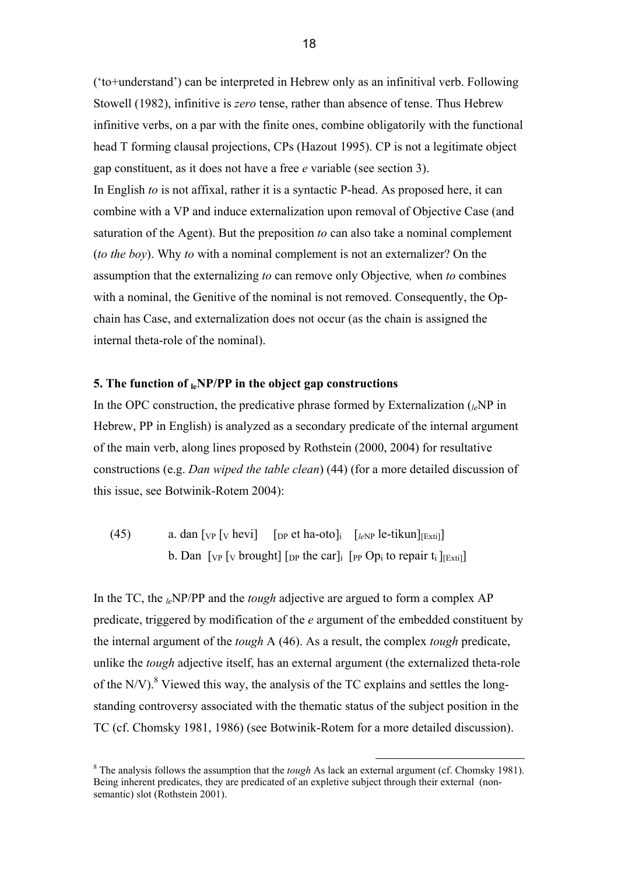('to+understand') can be interpreted in Hebrew only as an infinitival verb. Following Stowell (1982), infinitive is *zero* tense, rather than absence of tense. Thus Hebrew infinitive verbs, on a par with the finite ones, combine obligatorily with the functional head T forming clausal projections, CPs (Hazout 1995). CP is not a legitimate object gap constituent, as it does not have a free *e* variable (see section 3). In English *to* is not affixal, rather it is a syntactic P-head. As proposed here, it can combine with a VP and induce externalization upon removal of Objective Case (and saturation of the Agent). But the preposition *to* can also take a nominal complement (*to the boy*). Why *to* with a nominal complement is not an externalizer? On the assumption that the externalizing *to* can remove only Objective*,* when *to* combines with a nominal, the Genitive of the nominal is not removed. Consequently, the Opchain has Case, and externalization does not occur (as the chain is assigned the internal theta-role of the nominal).

# **5. The function of leNP/PP in the object gap constructions**

In the OPC construction, the predicative phrase formed by Externalization  $\binom{P}{k}$  in Hebrew, PP in English) is analyzed as a secondary predicate of the internal argument of the main verb, along lines proposed by Rothstein (2000, 2004) for resultative constructions (e.g. *Dan wiped the table clean*) (44) (for a more detailed discussion of this issue, see Botwinik-Rotem 2004):

(45) a. dan  $[v_P]_V$  hevi  $[v_P]_P$  et ha-oto $v_E$   $[v_P]_P$  le-tikun $v_E$ <sub>Extil</sub> b. Dan  $\lceil v \rceil$  [v brought]  $\lceil v \rceil$  the car]<sub>i</sub>  $\lceil v \rceil$  [p Op<sub>i</sub> to repair t<sub>i</sub>  $\lceil v \rceil$ <sub>[Exti</sub>]]

In the TC, the *le*NP/PP and the *tough* adjective are argued to form a complex AP predicate, triggered by modification of the *e* argument of the embedded constituent by the internal argument of the *tough* A (46). As a result, the complex *tough* predicate, unlike the *tough* adjective itself, has an external argument (the externalized theta-role of the N/V). $8$  Viewed this way, the analysis of the TC explains and settles the longstanding controversy associated with the thematic status of the subject position in the TC (cf. Chomsky 1981, 1986) (see Botwinik-Rotem for a more detailed discussion).

<sup>&</sup>lt;sup>8</sup> The analysis follows the assumption that the *tough* As lack an external argument (cf. Chomsky 1981). Being inherent predicates, they are predicated of an expletive subject through their external (nonsemantic) slot (Rothstein 2001).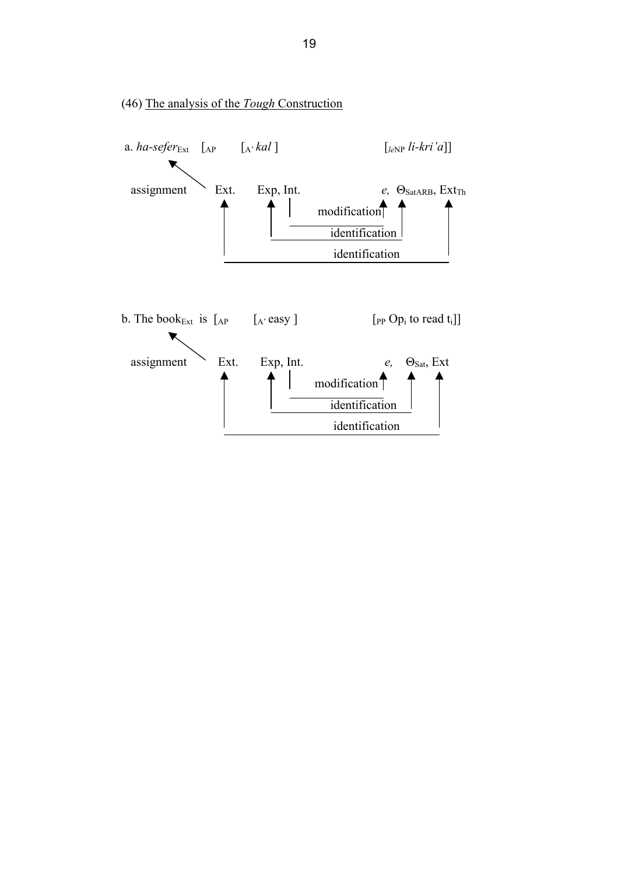

# (46) The analysis of the *Tough* Construction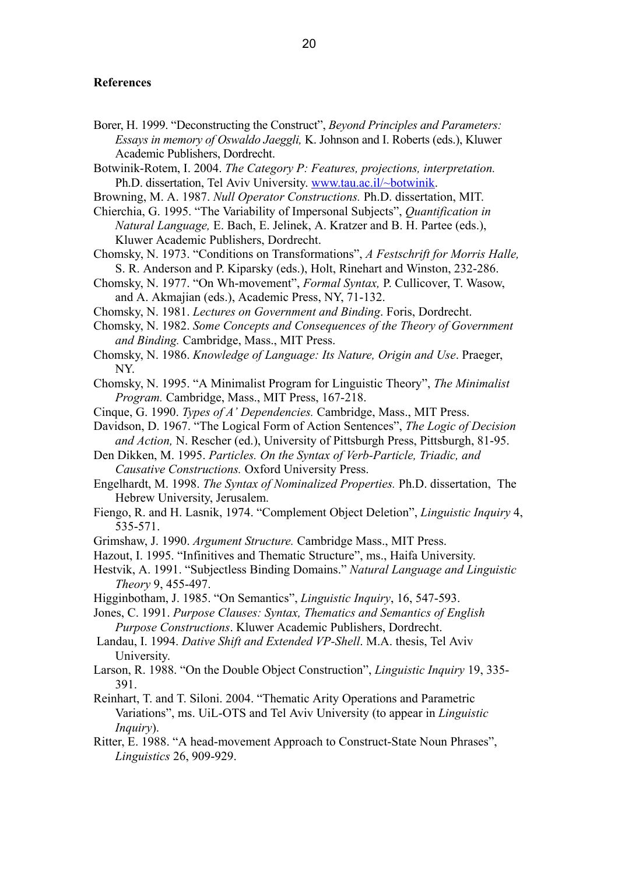#### **References**

- Borer, H. 1999. "Deconstructing the Construct", *Beyond Principles and Parameters: Essays in memory of Oswaldo Jaeggli,* K. Johnson and I. Roberts (eds.), Kluwer Academic Publishers, Dordrecht.
- Botwinik-Rotem, I. 2004. *The Category P: Features, projections, interpretation.*  Ph.D. dissertation, Tel Aviv University. www.tau.ac.il/~botwinik.
- Browning, M. A. 1987. *Null Operator Constructions.* Ph.D. dissertation, MIT.

Chierchia, G. 1995. "The Variability of Impersonal Subjects", *Quantification in Natural Language,* E. Bach, E. Jelinek, A. Kratzer and B. H. Partee (eds.), Kluwer Academic Publishers, Dordrecht.

- Chomsky, N. 1973. "Conditions on Transformations", *A Festschrift for Morris Halle,*  S. R. Anderson and P. Kiparsky (eds.), Holt, Rinehart and Winston, 232-286.
- Chomsky, N. 1977. "On Wh-movement", *Formal Syntax,* P. Cullicover, T. Wasow, and A. Akmajian (eds.), Academic Press, NY, 71-132.
- Chomsky, N. 1981. *Lectures on Government and Binding*. Foris, Dordrecht.
- Chomsky, N. 1982. *Some Concepts and Consequences of the Theory of Government and Binding.* Cambridge, Mass., MIT Press.
- Chomsky, N. 1986. *Knowledge of Language: Its Nature, Origin and Use*. Praeger, NY.
- Chomsky, N. 1995. "A Minimalist Program for Linguistic Theory", *The Minimalist Program.* Cambridge, Mass., MIT Press, 167-218.
- Cinque, G. 1990. *Types of A' Dependencies.* Cambridge, Mass., MIT Press.
- Davidson, D. 1967. "The Logical Form of Action Sentences", *The Logic of Decision and Action,* N. Rescher (ed.), University of Pittsburgh Press, Pittsburgh, 81-95.
- Den Dikken, M. 1995. *Particles. On the Syntax of Verb-Particle, Triadic, and Causative Constructions.* Oxford University Press.
- Engelhardt, M. 1998. *The Syntax of Nominalized Properties.* Ph.D. dissertation, The Hebrew University, Jerusalem.
- Fiengo, R. and H. Lasnik, 1974. "Complement Object Deletion", *Linguistic Inquiry* 4, 535-571.
- Grimshaw, J. 1990. *Argument Structure.* Cambridge Mass., MIT Press.
- Hazout, I. 1995. "Infinitives and Thematic Structure", ms., Haifa University.
- Hestvik, A. 1991. "Subjectless Binding Domains." *Natural Language and Linguistic Theory* 9, 455-497.
- Higginbotham, J. 1985. "On Semantics", *Linguistic Inquiry*, 16, 547-593.
- Jones, C. 1991. *Purpose Clauses: Syntax, Thematics and Semantics of English Purpose Constructions*. Kluwer Academic Publishers, Dordrecht.
- Landau, I. 1994. *Dative Shift and Extended VP-Shell*. M.A. thesis, Tel Aviv University.
- Larson, R. 1988. "On the Double Object Construction", *Linguistic Inquiry* 19, 335- 391.
- Reinhart, T. and T. Siloni. 2004. "Thematic Arity Operations and Parametric Variations", ms. UiL-OTS and Tel Aviv University (to appear in *Linguistic Inquiry*).
- Ritter, E. 1988. "A head-movement Approach to Construct-State Noun Phrases", *Linguistics* 26, 909-929.